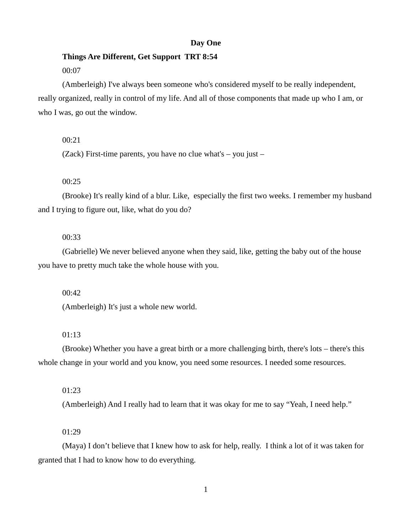### **Day One**

# **Things Are Different, Get Support TRT 8:54**

# 00:07

(Amberleigh) I've always been someone who's considered myself to be really independent, really organized, really in control of my life. And all of those components that made up who I am, or who I was, go out the window.

### 00:21

(Zack) First-time parents, you have no clue what's – you just –

# 00:25

(Brooke) It's really kind of a blur. Like, especially the first two weeks. I remember my husband and I trying to figure out, like, what do you do?

# 00:33

(Gabrielle) We never believed anyone when they said, like, getting the baby out of the house you have to pretty much take the whole house with you.

### 00:42

(Amberleigh) It's just a whole new world.

# 01:13

(Brooke) Whether you have a great birth or a more challenging birth, there's lots – there's this whole change in your world and you know, you need some resources. I needed some resources.

### 01:23

(Amberleigh) And I really had to learn that it was okay for me to say "Yeah, I need help."

# 01:29

(Maya) I don't believe that I knew how to ask for help, really. I think a lot of it was taken for granted that I had to know how to do everything.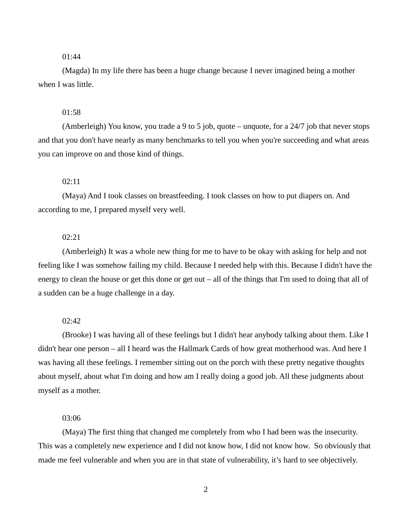(Magda) In my life there has been a huge change because I never imagined being a mother when I was little.

# 01:58

(Amberleigh) You know, you trade a 9 to 5 job, quote – unquote, for a 24/7 job that never stops and that you don't have nearly as many benchmarks to tell you when you're succeeding and what areas you can improve on and those kind of things.

# 02:11

(Maya) And I took classes on breastfeeding. I took classes on how to put diapers on. And according to me, I prepared myself very well.

# 02:21

(Amberleigh) It was a whole new thing for me to have to be okay with asking for help and not feeling like I was somehow failing my child. Because I needed help with this. Because I didn't have the energy to clean the house or get this done or get out – all of the things that I'm used to doing that all of a sudden can be a huge challenge in a day.

#### 02:42

(Brooke) I was having all of these feelings but I didn't hear anybody talking about them. Like I didn't hear one person – all I heard was the Hallmark Cards of how great motherhood was. And here I was having all these feelings. I remember sitting out on the porch with these pretty negative thoughts about myself, about what I'm doing and how am I really doing a good job. All these judgments about myself as a mother.

### 03:06

(Maya) The first thing that changed me completely from who I had been was the insecurity. This was a completely new experience and I did not know how, I did not know how. So obviously that made me feel vulnerable and when you are in that state of vulnerability, it's hard to see objectively.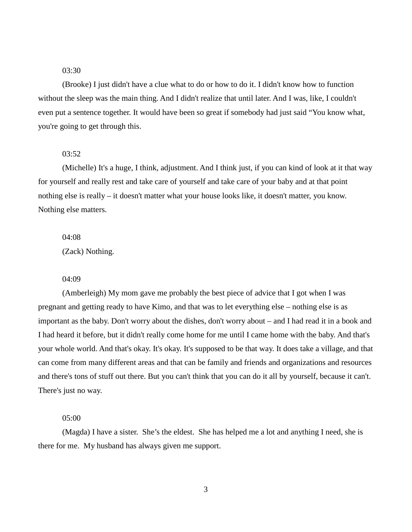(Brooke) I just didn't have a clue what to do or how to do it. I didn't know how to function without the sleep was the main thing. And I didn't realize that until later. And I was, like, I couldn't even put a sentence together. It would have been so great if somebody had just said "You know what, you're going to get through this.

### 03:52

(Michelle) It's a huge, I think, adjustment. And I think just, if you can kind of look at it that way for yourself and really rest and take care of yourself and take care of your baby and at that point nothing else is really – it doesn't matter what your house looks like, it doesn't matter, you know. Nothing else matters.

04:08 (Zack) Nothing.

#### 04:09

(Amberleigh) My mom gave me probably the best piece of advice that I got when I was pregnant and getting ready to have Kimo, and that was to let everything else – nothing else is as important as the baby. Don't worry about the dishes, don't worry about – and I had read it in a book and I had heard it before, but it didn't really come home for me until I came home with the baby. And that's your whole world. And that's okay. It's okay. It's supposed to be that way. It does take a village, and that can come from many different areas and that can be family and friends and organizations and resources and there's tons of stuff out there. But you can't think that you can do it all by yourself, because it can't. There's just no way.

#### 05:00

(Magda) I have a sister. She's the eldest. She has helped me a lot and anything I need, she is there for me. My husband has always given me support.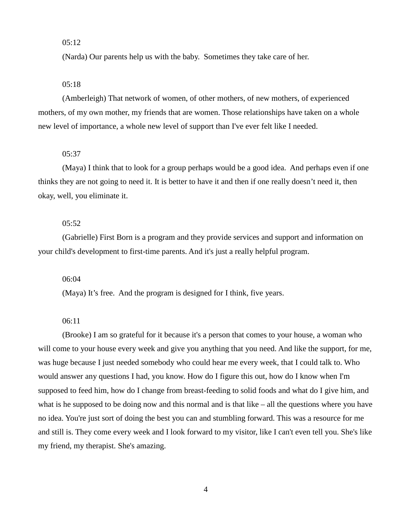(Narda) Our parents help us with the baby. Sometimes they take care of her.

### 05:18

(Amberleigh) That network of women, of other mothers, of new mothers, of experienced mothers, of my own mother, my friends that are women. Those relationships have taken on a whole new level of importance, a whole new level of support than I've ever felt like I needed.

#### 05:37

(Maya) I think that to look for a group perhaps would be a good idea. And perhaps even if one thinks they are not going to need it. It is better to have it and then if one really doesn't need it, then okay, well, you eliminate it.

### 05:52

(Gabrielle) First Born is a program and they provide services and support and information on your child's development to first-time parents. And it's just a really helpful program.

06:04

(Maya) It's free. And the program is designed for I think, five years.

06:11

(Brooke) I am so grateful for it because it's a person that comes to your house, a woman who will come to your house every week and give you anything that you need. And like the support, for me, was huge because I just needed somebody who could hear me every week, that I could talk to. Who would answer any questions I had, you know. How do I figure this out, how do I know when I'm supposed to feed him, how do I change from breast-feeding to solid foods and what do I give him, and what is he supposed to be doing now and this normal and is that like – all the questions where you have no idea. You're just sort of doing the best you can and stumbling forward. This was a resource for me and still is. They come every week and I look forward to my visitor, like I can't even tell you. She's like my friend, my therapist. She's amazing.

4